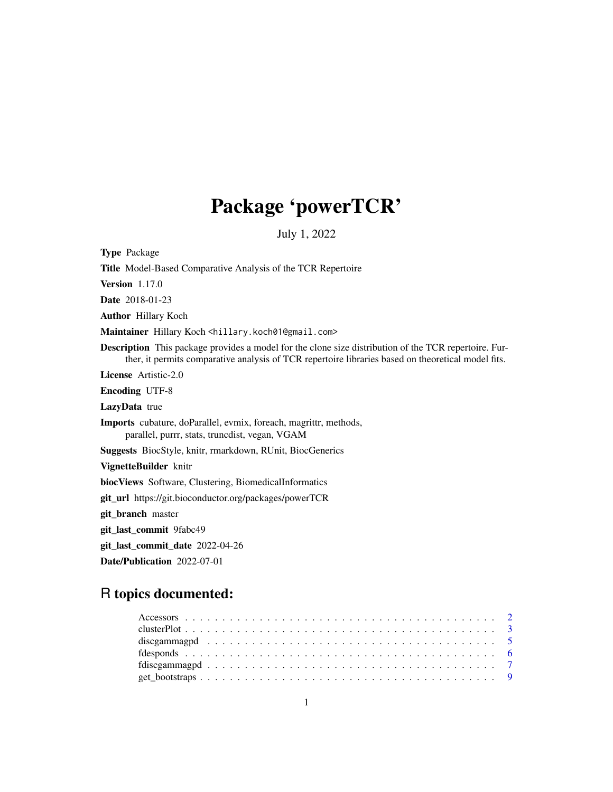# Package 'powerTCR'

July 1, 2022

<span id="page-0-0"></span>

| <b>Type Package</b>                                                                                                                                                                                                |
|--------------------------------------------------------------------------------------------------------------------------------------------------------------------------------------------------------------------|
| Title Model-Based Comparative Analysis of the TCR Repertoire                                                                                                                                                       |
| <b>Version</b> 1.17.0                                                                                                                                                                                              |
| <b>Date</b> 2018-01-23                                                                                                                                                                                             |
| <b>Author</b> Hillary Koch                                                                                                                                                                                         |
| Maintainer Hillary Koch <hillary.koch01@gmail.com></hillary.koch01@gmail.com>                                                                                                                                      |
| <b>Description</b> This package provides a model for the clone size distribution of the TCR repertoire. Fur-<br>ther, it permits comparative analysis of TCR repertoire libraries based on theoretical model fits. |
| <b>License</b> Artistic-2.0                                                                                                                                                                                        |
| <b>Encoding UTF-8</b>                                                                                                                                                                                              |
| LazyData true                                                                                                                                                                                                      |
| <b>Imports</b> cubature, doParallel, evmix, foreach, magrittr, methods,<br>parallel, purrr, stats, truncdist, vegan, VGAM                                                                                          |
| <b>Suggests</b> BiocStyle, knitr, rmarkdown, RUnit, BiocGenerics                                                                                                                                                   |
| VignetteBuilder knitr                                                                                                                                                                                              |
| biocViews Software, Clustering, BiomedicalInformatics                                                                                                                                                              |
| <b>git_url</b> https://git.bioconductor.org/packages/powerTCR                                                                                                                                                      |
| git_branch master                                                                                                                                                                                                  |
| git_last_commit_9fabc49                                                                                                                                                                                            |
| git_last_commit_date 2022-04-26                                                                                                                                                                                    |
| Date/Publication 2022-07-01                                                                                                                                                                                        |

# R topics documented: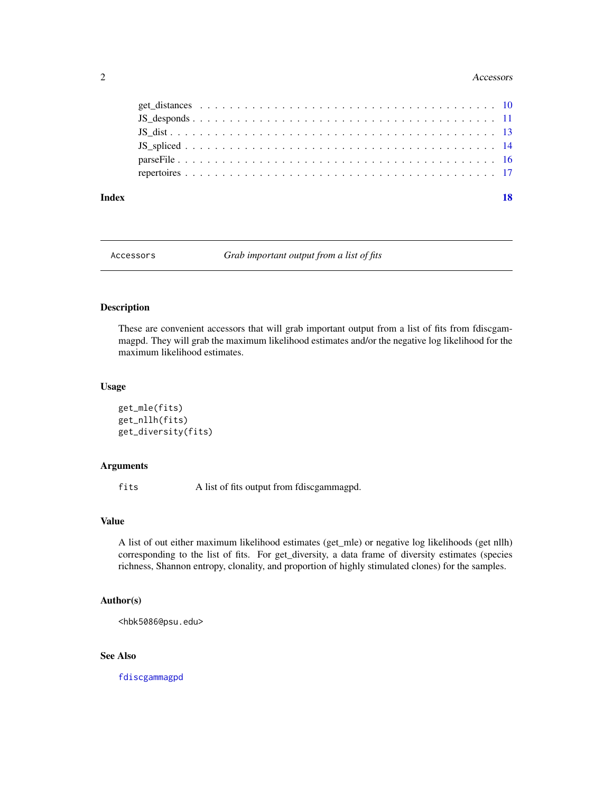#### <span id="page-1-0"></span>2 Accessors

| Index |  |  |  |  |  |  |  |  |  |  |  |  |  |  |  |  | 18 |
|-------|--|--|--|--|--|--|--|--|--|--|--|--|--|--|--|--|----|
|       |  |  |  |  |  |  |  |  |  |  |  |  |  |  |  |  |    |
|       |  |  |  |  |  |  |  |  |  |  |  |  |  |  |  |  |    |
|       |  |  |  |  |  |  |  |  |  |  |  |  |  |  |  |  |    |
|       |  |  |  |  |  |  |  |  |  |  |  |  |  |  |  |  |    |
|       |  |  |  |  |  |  |  |  |  |  |  |  |  |  |  |  |    |
|       |  |  |  |  |  |  |  |  |  |  |  |  |  |  |  |  |    |

Accessors *Grab important output from a list of fits*

# Description

These are convenient accessors that will grab important output from a list of fits from fdiscgammagpd. They will grab the maximum likelihood estimates and/or the negative log likelihood for the maximum likelihood estimates.

# Usage

```
get_mle(fits)
get_nllh(fits)
get_diversity(fits)
```
#### Arguments

fits A list of fits output from fdiscgammagpd.

### Value

A list of out either maximum likelihood estimates (get\_mle) or negative log likelihoods (get nllh) corresponding to the list of fits. For get\_diversity, a data frame of diversity estimates (species richness, Shannon entropy, clonality, and proportion of highly stimulated clones) for the samples.

# Author(s)

<hbk5086@psu.edu>

# See Also

[fdiscgammagpd](#page-6-1)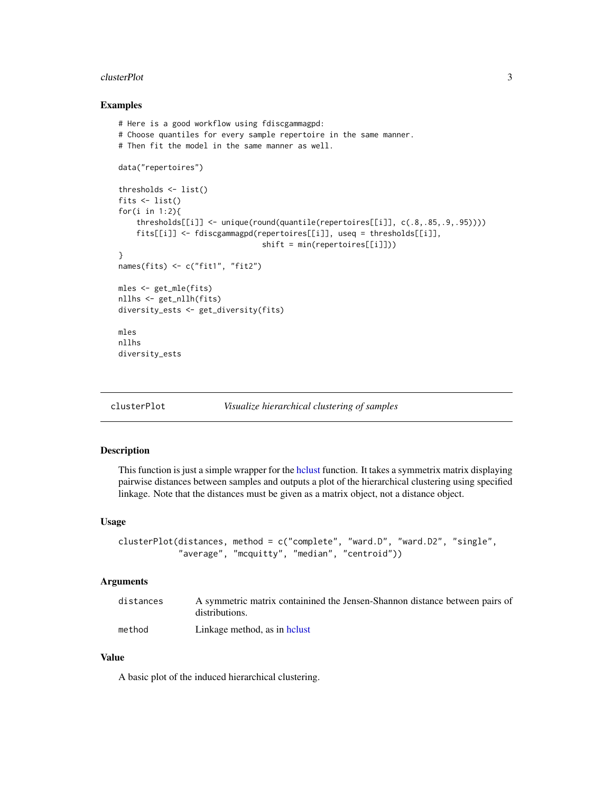#### <span id="page-2-0"></span>clusterPlot 3

#### Examples

```
# Here is a good workflow using fdiscgammagpd:
# Choose quantiles for every sample repertoire in the same manner.
# Then fit the model in the same manner as well.
data("repertoires")
thresholds <- list()
fits \leftarrow list()
for(i in 1:2){
    thresholds[[i]] <- unique(round(quantile(repertoires[[i]], c(.8,.85,.9,.95))))
    fits[[i]] <- fdiscgammagpd(repertoires[[i]], useq = thresholds[[i]],
                                 shift = min(repertoires[[i]]))
}
names(fits) <- c("fit1", "fit2")
mles <- get_mle(fits)
nllhs <- get_nllh(fits)
diversity_ests <- get_diversity(fits)
mles
nllhs
diversity_ests
```
clusterPlot *Visualize hierarchical clustering of samples*

# Description

This function is just a simple wrapper for the [hclust](#page-0-0) function. It takes a symmetrix matrix displaying pairwise distances between samples and outputs a plot of the hierarchical clustering using specified linkage. Note that the distances must be given as a matrix object, not a distance object.

#### Usage

```
clusterPlot(distances, method = c("complete", "ward.D", "ward.D2", "single",
            "average", "mcquitty", "median", "centroid"))
```
### Arguments

| distances | A symmetric matrix containined the Jensen-Shannon distance between pairs of<br>distributions. |
|-----------|-----------------------------------------------------------------------------------------------|
|           |                                                                                               |
| method    | Linkage method, as in helust                                                                  |

#### Value

A basic plot of the induced hierarchical clustering.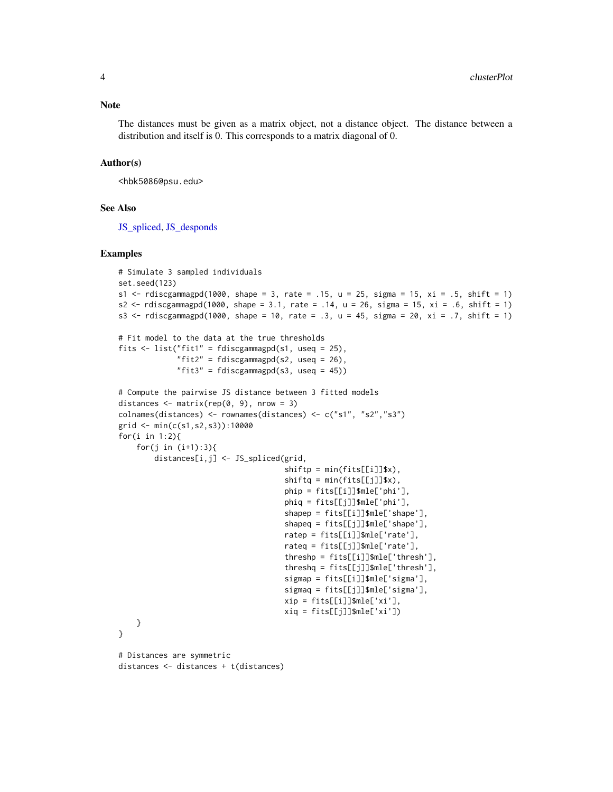<span id="page-3-0"></span>The distances must be given as a matrix object, not a distance object. The distance between a distribution and itself is 0. This corresponds to a matrix diagonal of 0.

#### Author(s)

<hbk5086@psu.edu>

#### See Also

JS spliced, JS desponds

#### Examples

```
# Simulate 3 sampled individuals
set.seed(123)
s1 \le - rdiscgammagpd(1000, shape = 3, rate = .15, u = 25, sigma = 15, xi = .5, shift = 1)
s2 <- rdiscgammagpd(1000, shape = 3.1, rate = .14, u = 26, sigma = 15, xi = .6, shift = 1)
s3 <- rdiscgammagpd(1000, shape = 10, rate = .3, u = 45, sigma = 20, xi = .7, shift = 1)
# Fit model to the data at the true thresholds
fits \le list("fit1" = fdiscgammagpd(s1, useq = 25),
             "fit2" = fdiscgammagpd(s2, useq = 26),
             "fit3" = fdiscgammagpd(s3, useq = 45))
# Compute the pairwise JS distance between 3 fitted models
distances \leq matrix(rep(0, 9), nrow = 3)
colnames(distances) <- rownames(distances) <- c("s1", "s2","s3")
grid <- min(c(s1,s2,s3)):10000
for(i in 1:2){
    for(j in (i+1):3){
        distances[i,j] <- JS_spliced(grid,
                                      shiftp = min(fits[[i]]$x),
                                      shiftq = min(fits[[j]]$x),
                                      phip = fits[[i]]$mle['phi'],
                                     phiq = fits[[j]]$mle['phi'],
                                      shapep = fits[[i]]$mle['shape'],
                                      shapeq = fits[[j]]$mle['shape'],
                                      ratep = fits[[i]]$mle['rate'],
                                     rateq = first[[j]]$mle['rate'],threshp = fits[[i]]$mle['thresh'],
                                      threshq = fits[[j]]$mle['thresh'],
                                     sigmap = fits[[i]]$mle['sigma'],
                                      sigmaq = fits[[j]]$mle['sigma'],
                                      xip = fits[[i]]$mle['xi'],
                                      xiq = fits[[j]]$mle['xi'])}
}
# Distances are symmetric
distances <- distances + t(distances)
```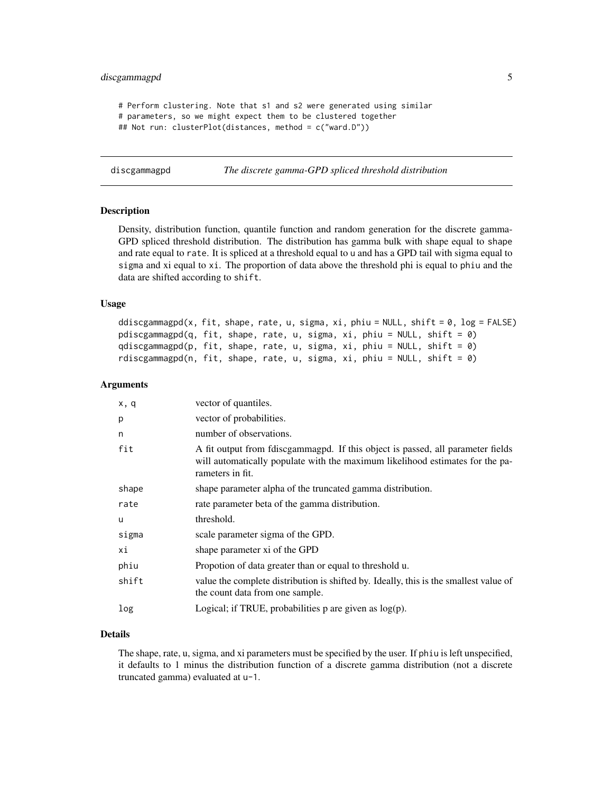# <span id="page-4-0"></span>discgammagpd 5

```
# Perform clustering. Note that s1 and s2 were generated using similar
# parameters, so we might expect them to be clustered together
## Not run: clusterPlot(distances, method = c("ward.D"))
```

```
discgammagpd The discrete gamma-GPD spliced threshold distribution
```
#### **Description**

Density, distribution function, quantile function and random generation for the discrete gamma-GPD spliced threshold distribution. The distribution has gamma bulk with shape equal to shape and rate equal to rate. It is spliced at a threshold equal to u and has a GPD tail with sigma equal to sigma and xi equal to xi. The proportion of data above the threshold phi is equal to phiu and the data are shifted according to shift.

#### Usage

```
ddiscgammagpd(x, fit, shape, rate, u, sigma, xi, phiu = NULL, shift = 0, log = FALSE)
pdiscgammagpd(q, fit, shape, rate, u, sigma, xi, phiu = NULL, shift = \emptyset)
qdiscgammagpd(p, fit, shape, rate, u, sigma, xi, phiu = NULL, shift = 0)
rdiscgammagpd(n, fit, shape, rate, u, sigma, xi, phiu = NULL, shift = 0)
```
#### Arguments

| x, q  | vector of quantiles.                                                                                                                                                                  |
|-------|---------------------------------------------------------------------------------------------------------------------------------------------------------------------------------------|
| p     | vector of probabilities.                                                                                                                                                              |
| n     | number of observations.                                                                                                                                                               |
| fit   | A fit output from foliscgammagpd. If this object is passed, all parameter fields<br>will automatically populate with the maximum likelihood estimates for the pa-<br>rameters in fit. |
| shape | shape parameter alpha of the truncated gamma distribution.                                                                                                                            |
| rate  | rate parameter beta of the gamma distribution.                                                                                                                                        |
| u     | threshold.                                                                                                                                                                            |
| sigma | scale parameter sigma of the GPD.                                                                                                                                                     |
| хi    | shape parameter xi of the GPD                                                                                                                                                         |
| phiu  | Propotion of data greater than or equal to threshold u.                                                                                                                               |
| shift | value the complete distribution is shifted by. Ideally, this is the smallest value of<br>the count data from one sample.                                                              |
| log   | Logical; if TRUE, probabilities $p$ are given as $log(p)$ .                                                                                                                           |

### Details

The shape, rate, u, sigma, and xi parameters must be specified by the user. If phiu is left unspecified, it defaults to 1 minus the distribution function of a discrete gamma distribution (not a discrete truncated gamma) evaluated at u-1.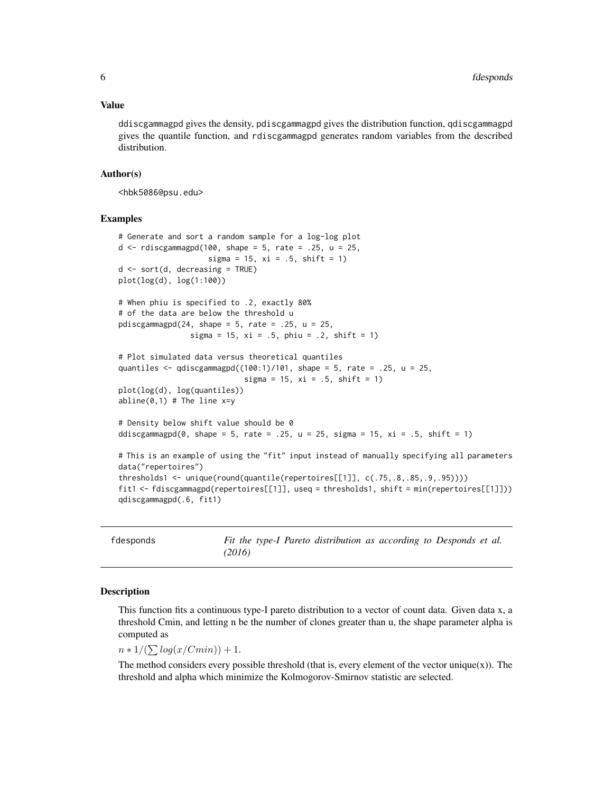#### <span id="page-5-0"></span>Value

ddiscgammagpd gives the density, pdiscgammagpd gives the distribution function, qdiscgammagpd gives the quantile function, and rdiscgammagpd generates random variables from the described distribution.

#### Author(s)

<hbk5086@psu.edu>

#### Examples

```
# Generate and sort a random sample for a log-log plot
d \leq rdiscgammagpd(100, shape = 5, rate = .25, u = 25,
                    sigma = 15, xi = .5, shift = 1)
d \leq -sort(d, decreasing = TRUE)plot(log(d), log(1:100))
# When phiu is specified to .2, exactly 80%
# of the data are below the threshold u
pdiscgammagpd(24, shape = 5, rate = .25, u = 25,
                sigma = 15, xi = .5, phi = .2, shift = 1)# Plot simulated data versus theoretical quantiles
quantiles \leq qdiscgammagpd((100:1)/101, shape = 5, rate = .25, u = 25,
                            sigma = 15, xi = .5, shift = 1)
plot(log(d), log(quantiles))
abline(0,1) # The line x=y# Density below shift value should be 0
ddiscgammagpd(0, shape = 5, rate = .25, u = 25, sigma = 15, xi = .5, shift = 1)
# This is an example of using the "fit" input instead of manually specifying all parameters
data("repertoires")
thresholds1 <- unique(round(quantile(repertoires[[1]], c(.75,.8,.85,.9,.95))))
fit1 <- fdiscgammagpd(repertoires[[1]], useq = thresholds1, shift = min(repertoires[[1]]))
qdiscgammagpd(.6, fit1)
```
<span id="page-5-1"></span>

fdesponds *Fit the type-I Pareto distribution as according to Desponds et al. (2016)*

#### Description

This function fits a continuous type-I pareto distribution to a vector of count data. Given data x, a threshold Cmin, and letting n be the number of clones greater than u, the shape parameter alpha is computed as

 $n * 1/(\sum log(x/Cmin)) + 1.$ 

The method considers every possible threshold (that is, every element of the vector unique $(x)$ ). The threshold and alpha which minimize the Kolmogorov-Smirnov statistic are selected.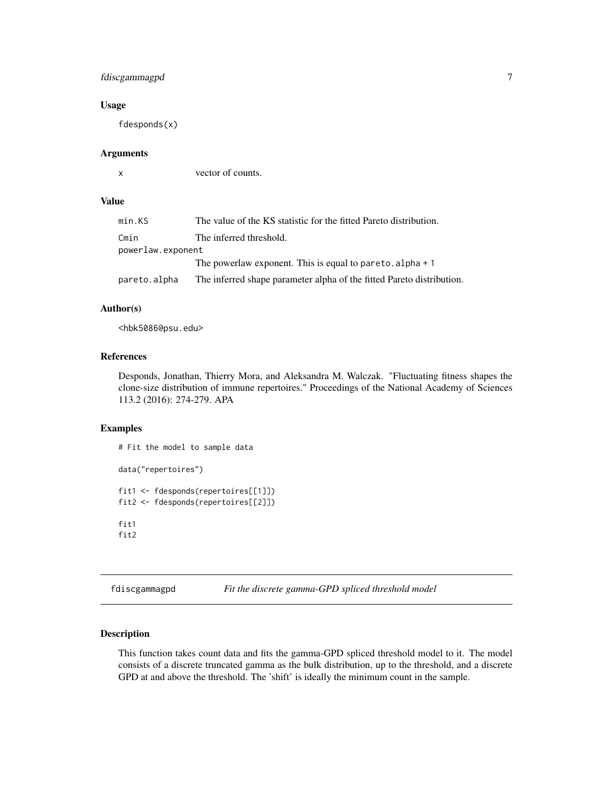# <span id="page-6-0"></span>fdiscgammagpd 7

#### Usage

fdesponds(x)

# Arguments

x vector of counts.

# Value

| min.KS            | The value of the KS statistic for the fitted Pareto distribution.     |
|-------------------|-----------------------------------------------------------------------|
| Cmin              | The inferred threshold.                                               |
| powerlaw.exponent |                                                                       |
|                   | The powerlaw exponent. This is equal to pare to $\alpha$ alpha $+1$   |
| pareto.alpha      | The inferred shape parameter alpha of the fitted Pareto distribution. |

# Author(s)

<hbk5086@psu.edu>

# References

Desponds, Jonathan, Thierry Mora, and Aleksandra M. Walczak. "Fluctuating fitness shapes the clone-size distribution of immune repertoires." Proceedings of the National Academy of Sciences 113.2 (2016): 274-279. APA

# Examples

```
# Fit the model to sample data
data("repertoires")
fit1 <- fdesponds(repertoires[[1]])
fit2 <- fdesponds(repertoires[[2]])
fit1
fit2
```
<span id="page-6-1"></span>fdiscgammagpd *Fit the discrete gamma-GPD spliced threshold model*

# Description

This function takes count data and fits the gamma-GPD spliced threshold model to it. The model consists of a discrete truncated gamma as the bulk distribution, up to the threshold, and a discrete GPD at and above the threshold. The 'shift' is ideally the minimum count in the sample.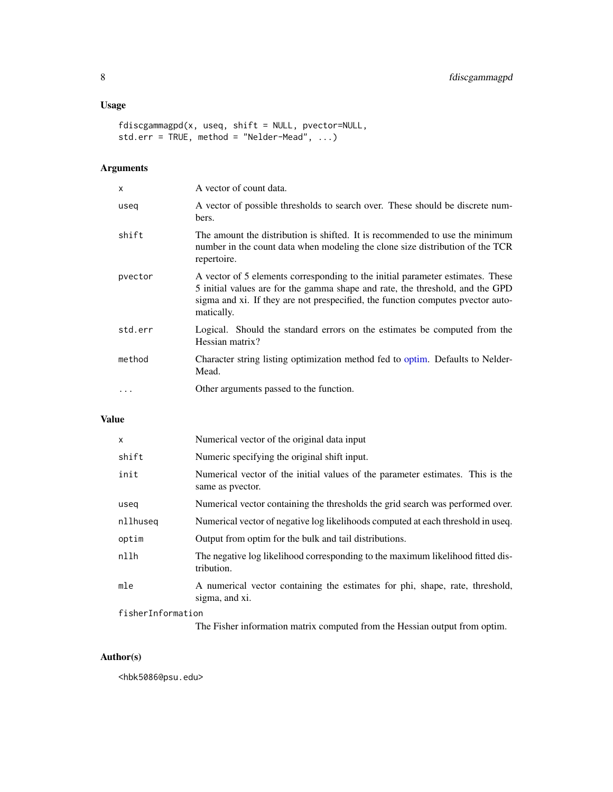# <span id="page-7-0"></span>Usage

```
fdiscgammagpd(x, useq, shift = NULL, pvector=NULL,
std.err = TRUE, method = "Nelder-Mead", ...)
```
# Arguments

| x          | A vector of count data.                                                                                                                                                                                                                                          |
|------------|------------------------------------------------------------------------------------------------------------------------------------------------------------------------------------------------------------------------------------------------------------------|
| useq       | A vector of possible thresholds to search over. These should be discrete num-<br>bers.                                                                                                                                                                           |
| shift      | The amount the distribution is shifted. It is recommended to use the minimum<br>number in the count data when modeling the clone size distribution of the TCR<br>repertoire.                                                                                     |
| pvector    | A vector of 5 elements corresponding to the initial parameter estimates. These<br>5 initial values are for the gamma shape and rate, the threshold, and the GPD<br>sigma and xi. If they are not prespecified, the function computes pvector auto-<br>matically. |
| std.err    | Logical. Should the standard errors on the estimates be computed from the<br>Hessian matrix?                                                                                                                                                                     |
| method     | Character string listing optimization method fed to optim. Defaults to Nelder-<br>Mead.                                                                                                                                                                          |
| $\ddots$ . | Other arguments passed to the function.                                                                                                                                                                                                                          |

# Value

| $\times$          | Numerical vector of the original data input                                                        |  |  |  |  |
|-------------------|----------------------------------------------------------------------------------------------------|--|--|--|--|
| shift             | Numeric specifying the original shift input.                                                       |  |  |  |  |
| init              | Numerical vector of the initial values of the parameter estimates. This is the<br>same as pyector. |  |  |  |  |
| useg              | Numerical vector containing the thresholds the grid search was performed over.                     |  |  |  |  |
| nllhuseg          | Numerical vector of negative log likelihoods computed at each threshold in useq.                   |  |  |  |  |
| optim             | Output from optim for the bulk and tail distributions.                                             |  |  |  |  |
| n11h              | The negative log likelihood corresponding to the maximum likelihood fitted dis-<br>tribution.      |  |  |  |  |
| mle               | A numerical vector containing the estimates for phi, shape, rate, threshold,<br>sigma, and xi.     |  |  |  |  |
| fisherInformation |                                                                                                    |  |  |  |  |

The Fisher information matrix computed from the Hessian output from optim.

# Author(s)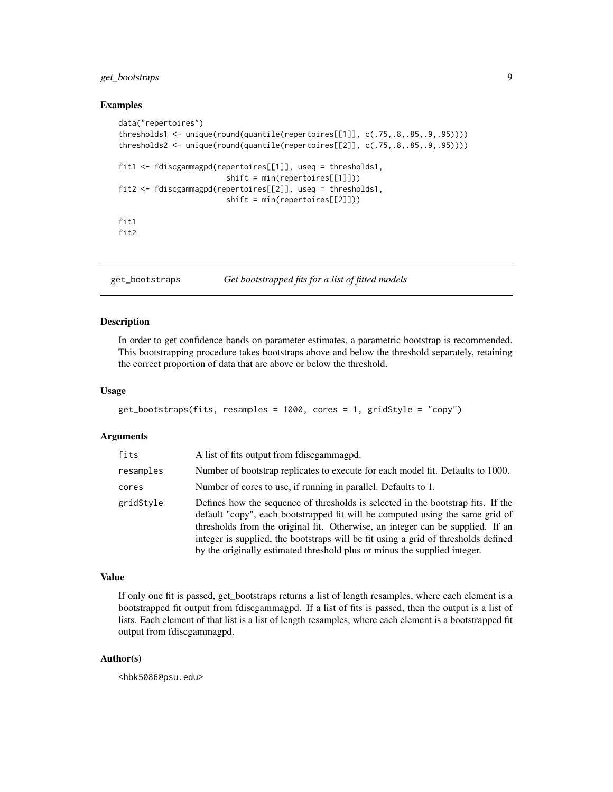# <span id="page-8-0"></span>get\_bootstraps 9

#### Examples

```
data("repertoires")
thresholds1 <- unique(round(quantile(repertoires[[1]], c(.75,.8,.85,.9,.95))))
thresholds2 <- unique(round(quantile(repertoires[[2]], c(.75,.8,.85,.9,.95))))
fit1 <- fdiscgammagpd(repertoires[[1]], useq = thresholds1,
                        shift = min(repertoires[[1]]))
fit2 <- fdiscgammagpd(repertoires[[2]], useq = thresholds1,
                        shift = min(repertoires[[2]]))
fit1
fit2
```
get\_bootstraps *Get bootstrapped fits for a list of fitted models*

#### Description

In order to get confidence bands on parameter estimates, a parametric bootstrap is recommended. This bootstrapping procedure takes bootstraps above and below the threshold separately, retaining the correct proportion of data that are above or below the threshold.

#### Usage

```
get_bootstraps(fits, resamples = 1000, cores = 1, gridStyle = "copy")
```
#### Arguments

| fits      | A list of fits output from foliscgammagpd.                                                                                                                                                                                                                                                                                                                                                                             |
|-----------|------------------------------------------------------------------------------------------------------------------------------------------------------------------------------------------------------------------------------------------------------------------------------------------------------------------------------------------------------------------------------------------------------------------------|
| resamples | Number of bootstrap replicates to execute for each model fit. Defaults to 1000.                                                                                                                                                                                                                                                                                                                                        |
| cores     | Number of cores to use, if running in parallel. Defaults to 1.                                                                                                                                                                                                                                                                                                                                                         |
| gridStyle | Defines how the sequence of thresholds is selected in the bootstrap fits. If the<br>default "copy", each bootstrapped fit will be computed using the same grid of<br>thresholds from the original fit. Otherwise, an integer can be supplied. If an<br>integer is supplied, the bootstraps will be fit using a grid of thresholds defined<br>by the originally estimated threshold plus or minus the supplied integer. |

# Value

If only one fit is passed, get bootstraps returns a list of length resamples, where each element is a bootstrapped fit output from fdiscgammagpd. If a list of fits is passed, then the output is a list of lists. Each element of that list is a list of length resamples, where each element is a bootstrapped fit output from fdiscgammagpd.

### Author(s)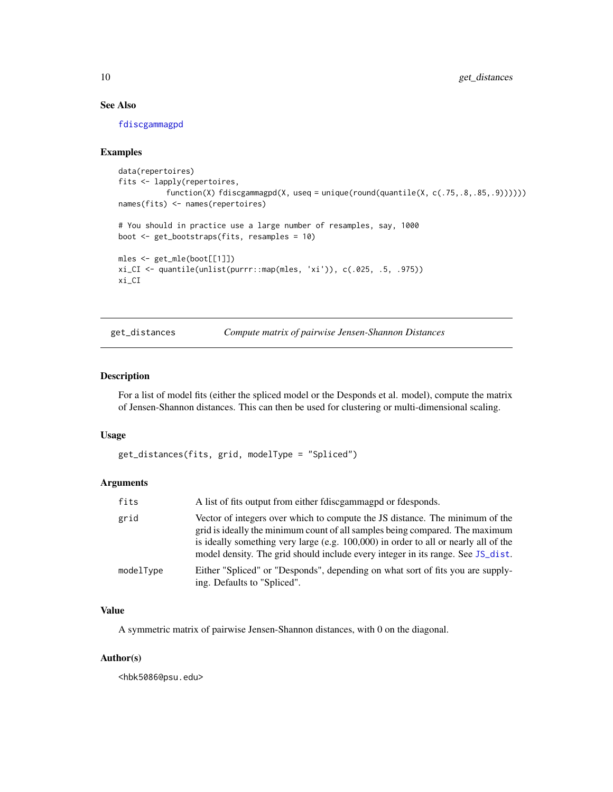# See Also

[fdiscgammagpd](#page-6-1)

#### Examples

```
data(repertoires)
fits <- lapply(repertoires,
          function(X) fdiscgammagpd(X, useq = unique(round(quantile(X, c(.75,.8,.85,.9))))))
names(fits) <- names(repertoires)
# You should in practice use a large number of resamples, say, 1000
boot <- get_bootstraps(fits, resamples = 10)
mles <- get_mle(boot[[1]])
xi_CI <- quantile(unlist(purrr::map(mles, 'xi')), c(.025, .5, .975))
xi_CI
```
get\_distances *Compute matrix of pairwise Jensen-Shannon Distances*

#### Description

For a list of model fits (either the spliced model or the Desponds et al. model), compute the matrix of Jensen-Shannon distances. This can then be used for clustering or multi-dimensional scaling.

#### Usage

```
get_distances(fits, grid, modelType = "Spliced")
```
#### Arguments

| fits      | A list of fits output from either fdiscgammagpd or fdesponds.                                                                                                                                                                                                                                                                          |
|-----------|----------------------------------------------------------------------------------------------------------------------------------------------------------------------------------------------------------------------------------------------------------------------------------------------------------------------------------------|
| grid      | Vector of integers over which to compute the JS distance. The minimum of the<br>grid is ideally the minimum count of all samples being compared. The maximum<br>is ideally something very large (e.g. 100,000) in order to all or nearly all of the<br>model density. The grid should include every integer in its range. See JS_dist. |
| modelType | Either "Spliced" or "Desponds", depending on what sort of fits you are supply-<br>ing. Defaults to "Spliced".                                                                                                                                                                                                                          |

## Value

A symmetric matrix of pairwise Jensen-Shannon distances, with 0 on the diagonal.

#### Author(s)

<span id="page-9-0"></span>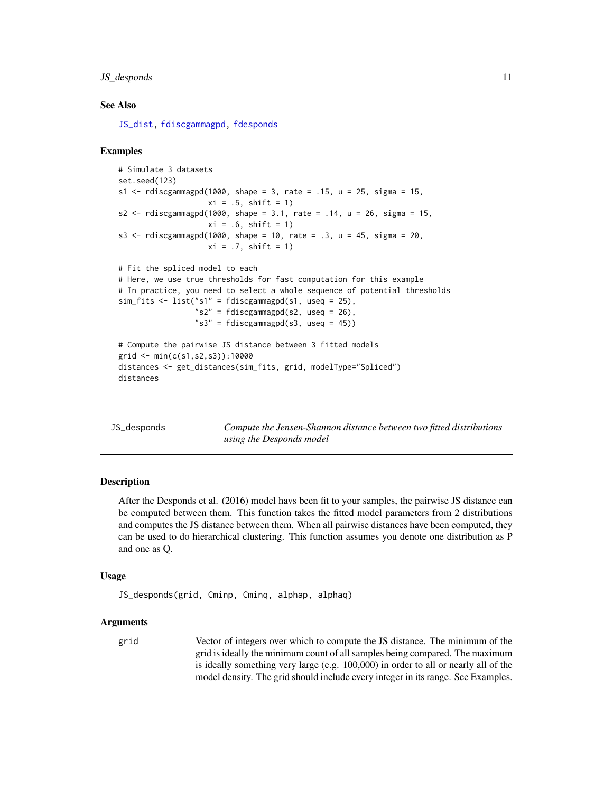#### <span id="page-10-0"></span>JS\_desponds 11

#### See Also

[JS\\_dist,](#page-12-1) [fdiscgammagpd,](#page-6-1) [fdesponds](#page-5-1)

#### Examples

```
# Simulate 3 datasets
set.seed(123)
s1 \le rdiscgammagpd(1000, shape = 3, rate = .15, u = 25, sigma = 15,
                    xi = .5, shift = 1)
s2 <- rdiscgammagpd(1000, shape = 3.1, rate = .14, u = 26, sigma = 15,
                    xi = .6, shift = 1)
s3 <- rdiscgammagpd(1000, shape = 10, rate = .3, u = 45, sigma = 20,
                    xi = .7, shift = 1)
# Fit the spliced model to each
# Here, we use true thresholds for fast computation for this example
# In practice, you need to select a whole sequence of potential thresholds
sim\_fits <- list("s1" = fdiscgammagpd(s1, useq = 25),
                 "s2" = fdiscgammagpd(s2, useq = 26),"s3" = fdiscgammagpd(s3, useq = 45))# Compute the pairwise JS distance between 3 fitted models
grid <- min(c(s1,s2,s3)):10000
distances <- get_distances(sim_fits, grid, modelType="Spliced")
distances
```
<span id="page-10-1"></span>JS\_desponds *Compute the Jensen-Shannon distance between two fitted distributions using the Desponds model*

### Description

After the Desponds et al. (2016) model havs been fit to your samples, the pairwise JS distance can be computed between them. This function takes the fitted model parameters from 2 distributions and computes the JS distance between them. When all pairwise distances have been computed, they can be used to do hierarchical clustering. This function assumes you denote one distribution as P and one as Q.

#### Usage

JS\_desponds(grid, Cminp, Cminq, alphap, alphaq)

#### Arguments

grid Vector of integers over which to compute the JS distance. The minimum of the grid is ideally the minimum count of all samples being compared. The maximum is ideally something very large (e.g. 100,000) in order to all or nearly all of the model density. The grid should include every integer in its range. See Examples.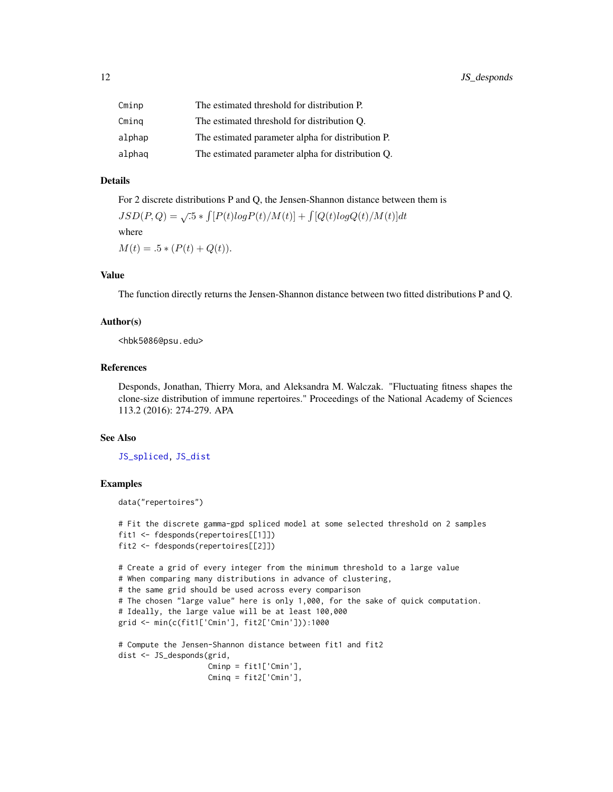<span id="page-11-0"></span>

| Cminp  | The estimated threshold for distribution P.       |
|--------|---------------------------------------------------|
| Cminq  | The estimated threshold for distribution O.       |
| alphap | The estimated parameter alpha for distribution P. |
| alphaq | The estimated parameter alpha for distribution Q. |

# Details

For 2 discrete distributions P and Q, the Jensen-Shannon distance between them is

 $JSD(P,Q) = \sqrt{.5 * \int [P(t)logP(t)/M(t)] + \int [Q(t)logQ(t)/M(t)]dt}$ where  $M(t) = .5 * (P(t) + Q(t)).$ 

# Value

The function directly returns the Jensen-Shannon distance between two fitted distributions P and Q.

#### Author(s)

<hbk5086@psu.edu>

# References

Desponds, Jonathan, Thierry Mora, and Aleksandra M. Walczak. "Fluctuating fitness shapes the clone-size distribution of immune repertoires." Proceedings of the National Academy of Sciences 113.2 (2016): 274-279. APA

#### See Also

[JS\\_spliced,](#page-13-1) [JS\\_dist](#page-12-1)

# Examples

```
data("repertoires")
```

```
# Fit the discrete gamma-gpd spliced model at some selected threshold on 2 samples
fit1 <- fdesponds(repertoires[[1]])
fit2 <- fdesponds(repertoires[[2]])
```

```
# Create a grid of every integer from the minimum threshold to a large value
# When comparing many distributions in advance of clustering,
# the same grid should be used across every comparison
# The chosen "large value" here is only 1,000, for the sake of quick computation.
# Ideally, the large value will be at least 100,000
grid <- min(c(fit1['Cmin'], fit2['Cmin'])):1000
```

```
# Compute the Jensen-Shannon distance between fit1 and fit2
dist <- JS_desponds(grid,
                   Cminp = fit1['Cmin'],
                   Cminq = fit2['Cmin'],
```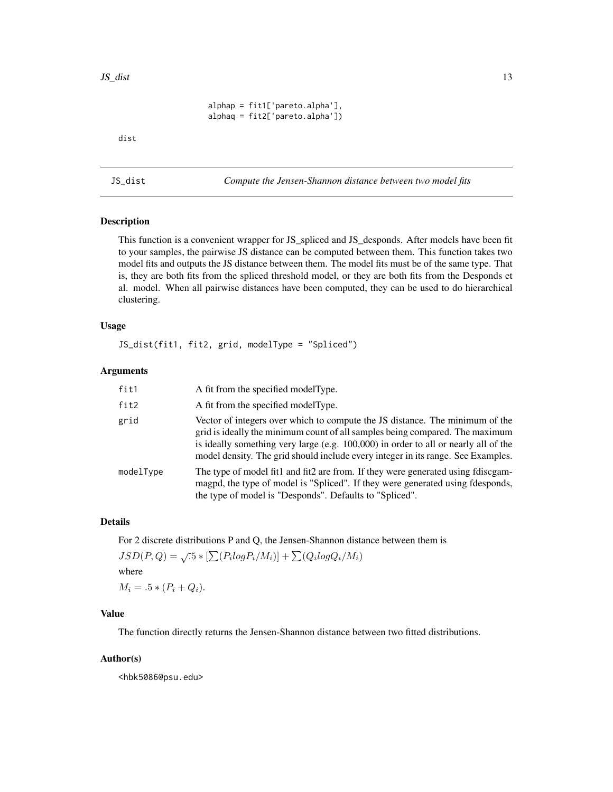```
alphap = fit1['pareto.alpha'],
alphaq = fit2['pareto.alpha'])
```
<span id="page-12-0"></span>dist

<span id="page-12-1"></span>JS\_dist *Compute the Jensen-Shannon distance between two model fits*

# Description

This function is a convenient wrapper for JS\_spliced and JS\_desponds. After models have been fit to your samples, the pairwise JS distance can be computed between them. This function takes two model fits and outputs the JS distance between them. The model fits must be of the same type. That is, they are both fits from the spliced threshold model, or they are both fits from the Desponds et al. model. When all pairwise distances have been computed, they can be used to do hierarchical clustering.

# Usage

JS\_dist(fit1, fit2, grid, modelType = "Spliced")

#### Arguments

| fit1      | A fit from the specified model Type.                                                                                                                                                                                                                                                                                                    |
|-----------|-----------------------------------------------------------------------------------------------------------------------------------------------------------------------------------------------------------------------------------------------------------------------------------------------------------------------------------------|
| fit2      | A fit from the specified model Type.                                                                                                                                                                                                                                                                                                    |
| grid      | Vector of integers over which to compute the JS distance. The minimum of the<br>grid is ideally the minimum count of all samples being compared. The maximum<br>is ideally something very large (e.g. 100,000) in order to all or nearly all of the<br>model density. The grid should include every integer in its range. See Examples. |
| modelType | The type of model fit1 and fit2 are from. If they were generated using fdiscgam-<br>magpd, the type of model is "Spliced". If they were generated using fdesponds,<br>the type of model is "Desponds". Defaults to "Spliced".                                                                                                           |

#### Details

For 2 discrete distributions P and Q, the Jensen-Shannon distance between them is

$$
JSD(P,Q) = \sqrt{.5} * [\sum (P_i log P_i / M_i)] + \sum (Q_i log Q_i / M_i)
$$
  
where

 $M_i = .5 * (P_i + Q_i).$ 

# Value

The function directly returns the Jensen-Shannon distance between two fitted distributions.

#### Author(s)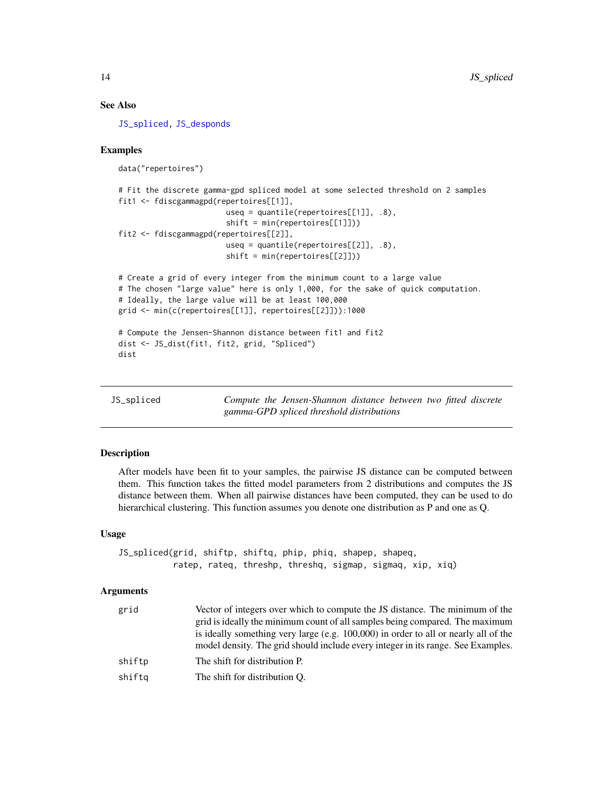#### See Also

[JS\\_spliced,](#page-13-1) [JS\\_desponds](#page-10-1)

### Examples

```
data("repertoires")
```

```
# Fit the discrete gamma-gpd spliced model at some selected threshold on 2 samples
fit1 <- fdiscgammagpd(repertoires[[1]],
                        useq = quantile(repertoires[[1]], .8),
                        shift = min(repertoires[[1]]))
fit2 <- fdiscgammagpd(repertoires[[2]],
                        useq = quantile(repertoires[[2]], .8),
                        shift = min(repertoires[[2]]))
```

```
# Create a grid of every integer from the minimum count to a large value
# The chosen "large value" here is only 1,000, for the sake of quick computation.
# Ideally, the large value will be at least 100,000
grid <- min(c(repertoires[[1]], repertoires[[2]])):1000
```

```
# Compute the Jensen-Shannon distance between fit1 and fit2
dist <- JS_dist(fit1, fit2, grid, "Spliced")
dist
```
<span id="page-13-1"></span>

| JS spliced |  |  |
|------------|--|--|
|            |  |  |

Compute the Jensen-Shannon distance between two fitted discrete *gamma-GPD spliced threshold distributions*

#### Description

After models have been fit to your samples, the pairwise JS distance can be computed between them. This function takes the fitted model parameters from 2 distributions and computes the JS distance between them. When all pairwise distances have been computed, they can be used to do hierarchical clustering. This function assumes you denote one distribution as P and one as Q.

#### Usage

JS\_spliced(grid, shiftp, shiftq, phip, phiq, shapep, shapeq, ratep, rateq, threshp, threshq, sigmap, sigmaq, xip, xiq)

#### Arguments

| grid   | Vector of integers over which to compute the JS distance. The minimum of the<br>grid is ideally the minimum count of all samples being compared. The maximum<br>is ideally something very large (e.g. 100,000) in order to all or nearly all of the<br>model density. The grid should include every integer in its range. See Examples. |
|--------|-----------------------------------------------------------------------------------------------------------------------------------------------------------------------------------------------------------------------------------------------------------------------------------------------------------------------------------------|
| shiftp | The shift for distribution P.                                                                                                                                                                                                                                                                                                           |
| shiftq | The shift for distribution Q.                                                                                                                                                                                                                                                                                                           |

<span id="page-13-0"></span>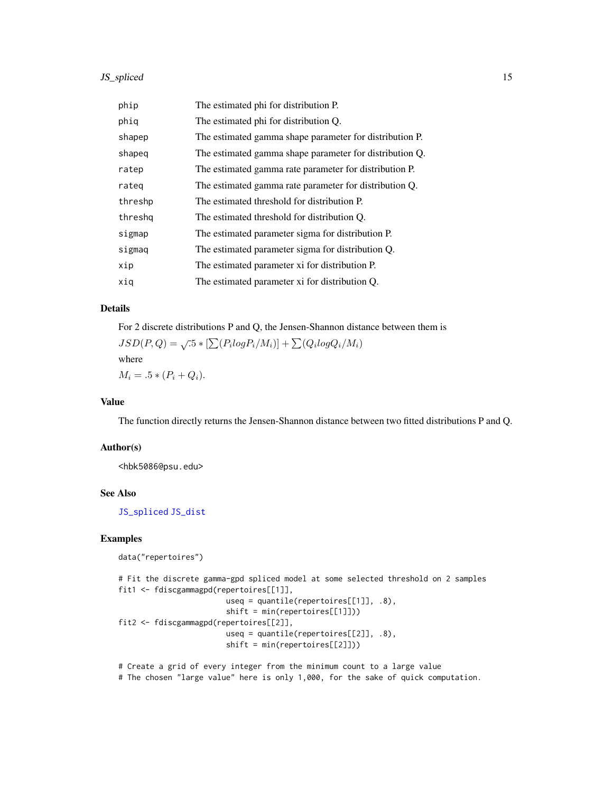# <span id="page-14-0"></span>JS\_spliced 15

| phip    | The estimated phi for distribution P.                   |
|---------|---------------------------------------------------------|
| phiq    | The estimated phi for distribution Q.                   |
| shapep  | The estimated gamma shape parameter for distribution P. |
| shapeg  | The estimated gamma shape parameter for distribution Q. |
| ratep   | The estimated gamma rate parameter for distribution P.  |
| rateg   | The estimated gamma rate parameter for distribution Q.  |
| threshp | The estimated threshold for distribution P.             |
| threshq | The estimated threshold for distribution Q.             |
| sigmap  | The estimated parameter sigma for distribution P.       |
| sigmaq  | The estimated parameter sigma for distribution Q.       |
| xip     | The estimated parameter xi for distribution P.          |
| xiq     | The estimated parameter xi for distribution Q.          |

# Details

For 2 discrete distributions P and Q, the Jensen-Shannon distance between them is  $JSD(P,Q) = \sqrt{5} * [\sum (P_i log P_i/M_i)] + \sum (Q_i log Q_i/M_i)$ where

 $M_i = .5 * (P_i + Q_i).$ 

# Value

The function directly returns the Jensen-Shannon distance between two fitted distributions P and Q.

#### Author(s)

<hbk5086@psu.edu>

#### See Also

[JS\\_spliced](#page-13-1) [JS\\_dist](#page-12-1)

# Examples

```
data("repertoires")
```

```
# Fit the discrete gamma-gpd spliced model at some selected threshold on 2 samples
fit1 <- fdiscgammagpd(repertoires[[1]],
                       useq = quantile(repertoires[[1]], .8),
                        shift = min(repertoires[[1]]))
fit2 <- fdiscgammagpd(repertoires[[2]],
                        useq = quantile(repertoires[[2]], .8),
                        shift = min(repertoires[[2]]))
```
# Create a grid of every integer from the minimum count to a large value

# The chosen "large value" here is only 1,000, for the sake of quick computation.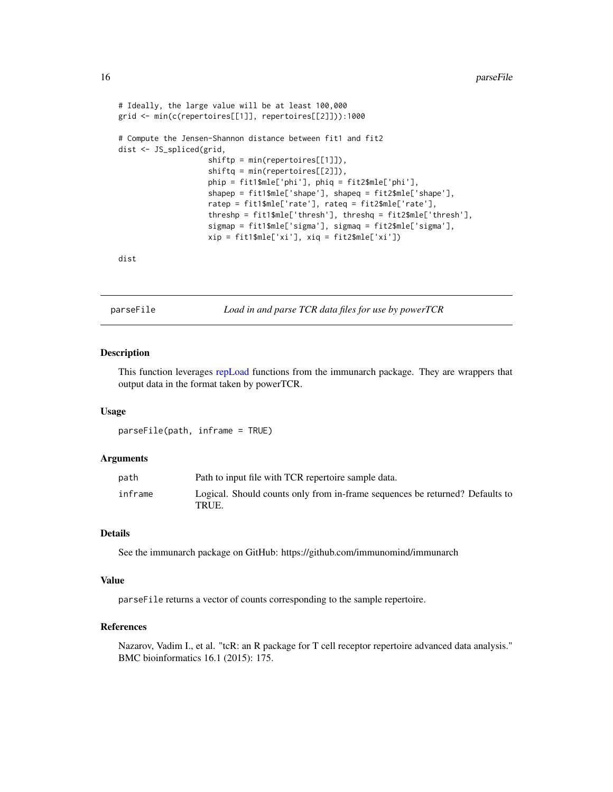```
# Ideally, the large value will be at least 100,000
grid <- min(c(repertoires[[1]], repertoires[[2]])):1000
# Compute the Jensen-Shannon distance between fit1 and fit2
dist <- JS_spliced(grid,
                    shiftp = min(repertoires[[1]]),
                    shiftq = min(repertoires[[2]]),
                    phip = fit1$mle['phi'], phiq = fit2$mle['phi'],
                    shapep = fit1$mle['shape'], shapeq = fit2$mle['shape'],
                    ratep = fit1$mle['rate'], rateq = fit2$mle['rate'],
                    threshp = fit1$mle['thresh'], threshq = fit2$mle['thresh'],
                    sigmap = fit1$mle['sigma'], sigmaq = fit2$mle['sigma'],
                    xip = fit1$mle['xi'], xiq = fit2$mle['xi'])
```
dist

parseFile *Load in and parse TCR data files for use by powerTCR*

#### Description

This function leverages [repLoad](#page-0-0) functions from the immunarch package. They are wrappers that output data in the format taken by powerTCR.

#### Usage

parseFile(path, inframe = TRUE)

#### **Arguments**

| path    | Path to input file with TCR repertoire sample data.                                   |
|---------|---------------------------------------------------------------------------------------|
| inframe | Logical. Should counts only from in-frame sequences be returned? Defaults to<br>TRUE. |

### Details

See the immunarch package on GitHub: https://github.com/immunomind/immunarch

#### Value

parseFile returns a vector of counts corresponding to the sample repertoire.

# References

Nazarov, Vadim I., et al. "tcR: an R package for T cell receptor repertoire advanced data analysis." BMC bioinformatics 16.1 (2015): 175.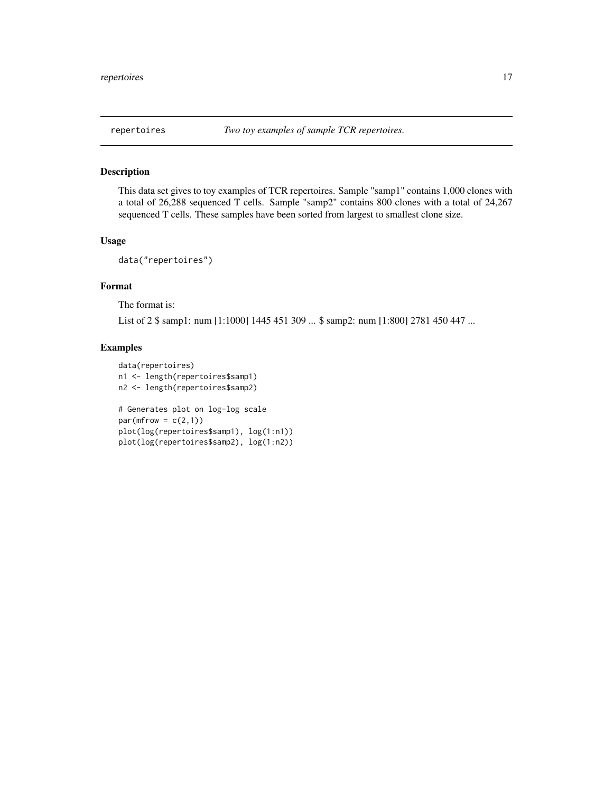# <span id="page-16-0"></span>Description

This data set gives to toy examples of TCR repertoires. Sample "samp1" contains 1,000 clones with a total of 26,288 sequenced T cells. Sample "samp2" contains 800 clones with a total of 24,267 sequenced T cells. These samples have been sorted from largest to smallest clone size.

### Usage

```
data("repertoires")
```
# Format

The format is:

List of 2 \$ samp1: num [1:1000] 1445 451 309 ... \$ samp2: num [1:800] 2781 450 447 ...

# Examples

```
data(repertoires)
n1 <- length(repertoires$samp1)
n2 <- length(repertoires$samp2)
# Generates plot on log-log scale
par(mfrow = c(2,1))plot(log(repertoires$samp1), log(1:n1))
plot(log(repertoires$samp2), log(1:n2))
```